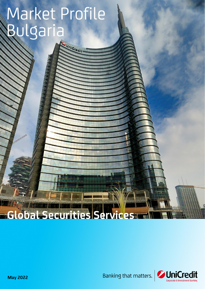# Market Profile Bulgaria

UNICRECK

# **Global Securities Services**



**May 2022**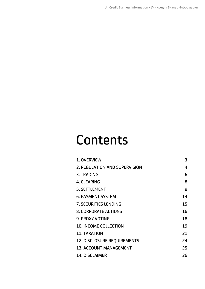# **Contents**

| 1. OVERVIEW                        | 3  |
|------------------------------------|----|
| 2. REGULATION AND SUPERVISION      | 4  |
| 3. TRADING                         | 6  |
| 4. CLEARING                        | 8  |
| <b>5. SETTLEMENT</b>               | 9  |
| <b>6. PAYMENT SYSTEM</b>           | 14 |
| <b>7. SECURITIES LENDING</b>       | 15 |
| <b>8. CORPORATE ACTIONS</b>        | 16 |
| <b>9. PROXY VOTING</b>             | 18 |
| <b>10. INCOME COLLECTION</b>       | 19 |
| <b>11. TAXATION</b>                | 21 |
| <b>12. DISCLOSURE REQUIREMENTS</b> | 24 |
| <b>13. ACCOUNT MANAGEMENT</b>      | 25 |
| <b>14. DISCLAIMER</b>              | 26 |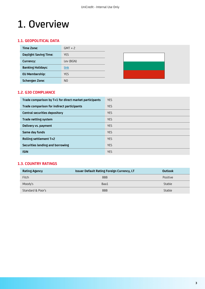### <span id="page-2-0"></span>1. Overview

### **1.1. GEOPOLITICAL DATA**

| Time Zone:                   | $GMT + 2$      |  |  |
|------------------------------|----------------|--|--|
| <b>Daylight Saving Time:</b> | <b>YES</b>     |  |  |
| Currency:                    | Lev (BGN)      |  |  |
| <b>Banking Holidays:</b>     | link           |  |  |
| <b>EU Membership:</b>        | <b>YES</b>     |  |  |
| <b>Schengen Zone:</b>        | N <sub>O</sub> |  |  |

#### **1.2. G30 COMPLIANCE**

| Trade comparison by T+1 for direct market participants | <b>YES</b> |
|--------------------------------------------------------|------------|
| Trade comparison for indirect participants             | <b>YES</b> |
| <b>Central securities depository</b>                   | <b>YES</b> |
| Trade netting system                                   | <b>YES</b> |
| Delivery vs. payment                                   | <b>YES</b> |
| Same day funds                                         | <b>YES</b> |
| Rolling settlement T+2                                 | <b>YES</b> |
| Securities lending and borrowing                       | <b>YES</b> |
| <b>ISIN</b>                                            | <b>YES</b> |

#### **1.3. COUNTRY RATINGS**

| <b>Rating Agency</b> | <b>Issuer Default Rating Foreign Currency, LT</b> | Outlook  |
|----------------------|---------------------------------------------------|----------|
| Fitch                | <b>BBB</b>                                        | Positive |
| Moody's              | Baa1                                              | Stable   |
| Standard & Poor's    | <b>BBB</b>                                        | Stable   |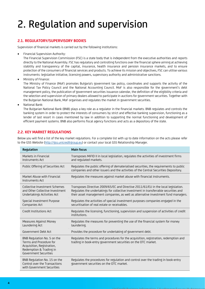### <span id="page-3-0"></span>2. Regulation and supervision

#### **2.1. REGULATORY/SUPERVISORY BODIES**

Supervision of financial markets is carried out by the following institutions:

• Financial Supervision Authority:

The Financial Supervision Commission (FSC) is a state body that is independent from the executive authorities and reports directly to the National Assembly. FSC has regulatory and controlling functions over the financial sphere aiming at achieving stability and transparency of the capital, insurance, health insurance and pension insurance markets, and to ensure protection of the consumers of financial services and products. To achieve its mission and objectives, FSC can utilise various instruments: legislative initiative, licensing powers, supervisory authority and administrative sanctions.

• Ministry of Finance:

The Ministry of Finance (MoF) promotes Bulgaria's government tax policy, coordinates and supports the activity of the National Tax Policy Council and the National Accounting Council. MoF is also responsible for the government's debt management policy, the publication of government securities issuance calendar, the definition of the eligibility criteria and the selection and supervision of primary dealers allowed to participate in auctions for government securities. Together with the Bulgarian National Bank, MoF organises and regulates the market in government securities.

• National Bank:

The Bulgarian National Bank (BNB) plays a key role as a regulator in the financial markets. BNB regulates and controls the banking system in order to protect the interests of consumers by strict and effective banking supervision, functioning as a lender of last resort in cases mentioned by law in addition to supporting the normal functioning and development of efficient payment systems. BNB also performs fiscal agency functions and acts as a depository of the state.

#### **2.2. KEY MARKET REGULATIONS**

Below you will find a list of the key market regulations. For a complete list with up to date information on the acts please refer to the GSS Website [\(http://gss.unicreditgroup.eu\)](http://gss.unicreditgroup.eu/) or contact your local GSS Relationship Manager.

| Regulation                                                                                                                               | <b>Main focus</b>                                                                                                                                                                                                                                                |
|------------------------------------------------------------------------------------------------------------------------------------------|------------------------------------------------------------------------------------------------------------------------------------------------------------------------------------------------------------------------------------------------------------------|
| Markets in Financial<br>Instruments Act                                                                                                  | Transposes MiFID II in local legislation, regulates the activities of investment firms<br>and regulated markets.                                                                                                                                                 |
| Public Offering of Securities Act                                                                                                        | Regulates the public offering of dematerialised securities, the requirements to public<br>companies and other issuers and the activities of the Central Securities Depository.                                                                                   |
| Market Abuse with Financial<br>Instruments Act                                                                                           | Regulates the measures against market abuse with financial instruments.                                                                                                                                                                                          |
| Collective Investment Schemes<br>and Other Collective Investment<br>Undertakings Activities Act                                          | Transposes Directive 2009/65/EC and Directive 2011/61/EU in the local legislation.<br>Regulates the undertakings for collective investment in transferrable securities and<br>their asset management companies, as well as alternative investment fund managers. |
| Special Investment Purpose<br>Companies Act                                                                                              | Regulates the activities of special investment purposes companies engaged in the<br>securitisation of real estate or receivables.                                                                                                                                |
| Credit Institutions Act                                                                                                                  | Regulates the licensing, functioning, supervision and suspension of activities of credit<br>institutions.                                                                                                                                                        |
| Measures Against Money<br>Laundering Act                                                                                                 | Regulates the measures for preventing the use of the financial system for money<br>laundering.                                                                                                                                                                   |
| Government Debt Act                                                                                                                      | Provides the procedure for undertaking of government debt.                                                                                                                                                                                                       |
| BNB Regulation No. 5 on the<br>Terms and Procedure for<br>Acquisition, Registration,<br>Redemption & Trading in<br>Government Securities | Regulates the terms and procedures for the acquisition, registration, redemption and<br>trading in book-entry government securities on the OTC market.                                                                                                           |
| BNB Regulation No. 15 on the<br>Control over the Transactions<br>with Government Securities                                              | Regulates the procedures for regulation and control over the trading in book-entry<br>government securities on the OTC market.                                                                                                                                   |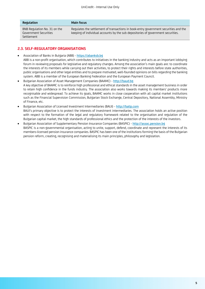| Regulation                                                          | <b>Main focus</b>                                                                                                                                                        |
|---------------------------------------------------------------------|--------------------------------------------------------------------------------------------------------------------------------------------------------------------------|
| BNB Regulation No. 31 on the<br>Government Securities<br>Settlement | Requlates the settlement of transactions in book-entry government securities and the<br>keeping of individual accounts by the sub depositories of government securities. |

### **2.3. SELF-REGULATORY ORGANISATIONS**

- Association of Banks in Bulgaria (ABB) [https://abanksb.bg](https://abanksb.bg/en/)
- ABB is a non-profit organisation, which contributes to initiatives in the banking industry and acts as an important lobbying forum in reviewing proposals for legislative and regulatory changes. Among the association's main goals are: to coordinate the interests of its members while carrying out their activities, to protect their rights and interests before state authorities, public organisations and other legal entities and to prepare motivated, well-founded opinions on bills regarding the banking system. ABB is a member of the European Banking Federation and the European Payment Council.
- Bulgarian Association of Asset Management Companies (BAAMC) [http://baud.bg](http://baud.bg/en/) A key objective of BAAMC is to reinforce high professional and ethical standards in the asset management business in order to retain high confidence in the funds industry. The association also works towards making its members' products more recognisable and widespread. To achieve its goals, BAAMC works in close cooperation with all capital market institutions such as the Financial Supervision Commission, Bulgarian Stock Exchange, Central Depository, National Assembly, Ministry of Finance, etc.
- Bulgarian Association of Licensed Investment Intermediaries (BALII) [http://balip.com](http://balip.com/en/home/) BALII's primary objective is to protect the interests of investment intermediaries. The association holds an active position with respect to the formation of the legal and regulatory framework related to the organisation and regulation of the Bulgarian capital market, the high standards of professional ethics and the protection of the interests of the investors.
- Bulgarian Association of Supplementary Pension Insurance Companies (BASPIC) [http://assoc.pension.bg](http://assoc.pension.bg/en/index.php) BASPIC is a non-governmental organisation, acting to unite, support, defend, coordinate and represent the interests of its members-licensed pension insurance companies. BASPIC has been one of the institutions forming the basis of the Bulgarian pension reform, creating, recognising and materialising its main principles, philosophy and legislation.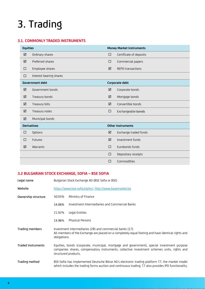# <span id="page-5-0"></span>3. Trading

### **3.1. COMMONLY TRADED INSTRUMENTS**

| <b>Equities</b><br><b>Money Market instruments</b> |                         |        |                          |
|----------------------------------------------------|-------------------------|--------|--------------------------|
| ☑                                                  | Ordinary shares         | $\Box$ | Certificate of deposits  |
| ☑                                                  | Preferred shares        | $\Box$ | Commercial papers        |
| □                                                  | Employee shares         | ☑      | <b>REPO transactions</b> |
| □                                                  | Interest bearing shares |        |                          |
|                                                    | <b>Government debt</b>  |        | Corporate debt           |
| ☑                                                  | Government bonds        | ☑      | Corporate bonds          |
| ☑                                                  | Treasury bonds          | ☑      | Mortgage bonds           |
| ☑                                                  | Treasury bills          | ☑      | Convertible bonds        |
| ☑                                                  | Treasury notes          | □      | Exchangeable bonds       |
| ☑                                                  | Municipal bonds         |        |                          |
|                                                    | <b>Derivatives</b>      |        | <b>Other instruments</b> |
| □                                                  | Options                 | ☑      | Exchange traded funds    |
| □                                                  | Futures                 | ☑      | Investment funds         |
| ☑                                                  | Warrants                | $\Box$ | Eurobonds funds          |
|                                                    |                         | $\Box$ | Depositary receipts      |
|                                                    |                         | $\Box$ | Commodities              |

### **3.2 BULGARIAN STOCK EXCHANGE, SOFIA – BSE SOFIA**

| Legal name          | Bulgarian Stock Exchange AD (BSE Sofia or BSE)                                                                                                                                                                     |  |  |
|---------------------|--------------------------------------------------------------------------------------------------------------------------------------------------------------------------------------------------------------------|--|--|
| Website             | https://www.bse-sofia.bg/en/, http://www.basemarket.bg                                                                                                                                                             |  |  |
| Ownership structure | Ministry of Finance<br>50.05%                                                                                                                                                                                      |  |  |
|                     | Investment Intermediaries and Commercial Banks<br>14.06%                                                                                                                                                           |  |  |
|                     | Legal Entities<br>21.92%                                                                                                                                                                                           |  |  |
|                     | <b>Physical Persons</b><br>13.96%                                                                                                                                                                                  |  |  |
| Trading members     | Investment intermediaries (28) and commercial banks (17).<br>All members of the Exchange are placed on a completely equal footing and have identical rights and<br>obligations.                                    |  |  |
| Traded instruments  | Equities, bonds (corporate, municipal, mortgage and government), special investment purpose<br>companies shares, compensatory instruments, collective investment schemes units, rights and<br>structured products. |  |  |
| Trading method      | BSE-Sofia has implemented Deutsche Börse AG's electronic trading platform T7, the market model<br>which includes the trading forms auction and continuous trading. T7 also provides IPO functionality.             |  |  |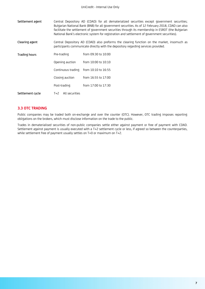| Settlement agent | Central Depository AD (CDAD) for all dematerialized securities except government securities;<br>Bulgarian National Bank (BNB) for all government securities. As of 12 February 2018, CDAD can also<br>facilitate the settlement of government securities through its membership in ESROT (the Bulgarian<br>National Bank's electronic system for registration and settlement of government securities). |                     |  |  |
|------------------|---------------------------------------------------------------------------------------------------------------------------------------------------------------------------------------------------------------------------------------------------------------------------------------------------------------------------------------------------------------------------------------------------------|---------------------|--|--|
| Clearing agent   | Central Depository AD (CDAD) also preforms the clearing function on the market, insomuch as<br>participants communicate directly with the depository regarding services provided.                                                                                                                                                                                                                       |                     |  |  |
| Trading hours    | Pre-trading                                                                                                                                                                                                                                                                                                                                                                                             | from 09:30 to 10:00 |  |  |
|                  | Opening auction                                                                                                                                                                                                                                                                                                                                                                                         | from 10:00 to 10:10 |  |  |
|                  | Continuous trading                                                                                                                                                                                                                                                                                                                                                                                      | from 10:10 to 16:55 |  |  |
|                  | Closing auction                                                                                                                                                                                                                                                                                                                                                                                         | from 16:55 to 17:00 |  |  |
|                  | Post-trading                                                                                                                                                                                                                                                                                                                                                                                            | from 17:00 to 17:30 |  |  |
| Settlement cycle | All securities<br>$T+2$                                                                                                                                                                                                                                                                                                                                                                                 |                     |  |  |

#### **3.3 OTC TRADING**

Public companies may be traded both on-exchange and over the counter (OTC). However, OTC trading imposes reporting obligations on the brokers, which must disclose information on the trade to the public.

Trades in dematerialised securities of non-public companies settle either against payment or free of payment with CDAD. Settlement against payment is usually executed with a T+2 settlement cycle or less, if agreed so between the counterparties, while settlement free of payment usually settles on T+0 or maximum on T+2.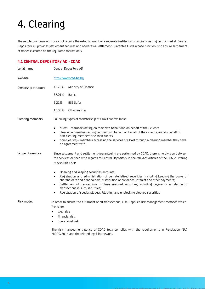## <span id="page-7-0"></span>4. Clearing

The regulatory framework does not require the establishment of a separate institution providing clearing on the market. Central Depository AD provides settlement services and operates a Settlement Guarantee Fund, whose function is to ensure settlement of trades executed on the regulated market only.

#### **4.1 CENTRAL DEPOSITORY AD - CDAD**

| Legal name          | Central Depository AD                                                                                                                                                                                                                                                                                                                                                                                                                                                                   |  |  |
|---------------------|-----------------------------------------------------------------------------------------------------------------------------------------------------------------------------------------------------------------------------------------------------------------------------------------------------------------------------------------------------------------------------------------------------------------------------------------------------------------------------------------|--|--|
| Website             | http://www.csd-bg.bg                                                                                                                                                                                                                                                                                                                                                                                                                                                                    |  |  |
| Ownership structure | 43.70%<br>Ministry of Finance                                                                                                                                                                                                                                                                                                                                                                                                                                                           |  |  |
|                     | <b>Banks</b><br>37.01%                                                                                                                                                                                                                                                                                                                                                                                                                                                                  |  |  |
|                     | 6.21%<br><b>BSE Sofia</b>                                                                                                                                                                                                                                                                                                                                                                                                                                                               |  |  |
|                     | 13.08%<br>Other entities                                                                                                                                                                                                                                                                                                                                                                                                                                                                |  |  |
| Clearing members    | Following types of membership at CDAD are available:                                                                                                                                                                                                                                                                                                                                                                                                                                    |  |  |
|                     | direct - members acting on their own behalf and on behalf of their clients<br>$\bullet$<br>clearing - members acting on their own behalf, on behalf of their clients, and on behalf of<br>$\bullet$<br>non-clearing members and their clients<br>non-clearing - members accessing the services of CDAD through a clearing member they have<br>$\bullet$<br>an agreement with                                                                                                            |  |  |
| Scope of services   | Since settlement and settlement guaranteeing are performed by CDAD, there is no division between<br>the services defined with regards to Central Depository in the relevant articles of the Public Offering<br>of Securities Act:                                                                                                                                                                                                                                                       |  |  |
|                     | Opening and keeping securities accounts;<br>٠<br>Registration and administration of dematerialised securities, including keeping the books of<br>$\bullet$<br>shareholders and bondholders, distribution of dividends, interest and other payments;<br>Settlement of transactions in dematerialised securities, including payments in relation to<br>$\bullet$<br>transactions in such securities;<br>Registration of special pledges, blocking and unblocking pledged securities.<br>٠ |  |  |
| Risk model          | In order to ensure the fulfilment of all transactions, CDAD applies risk management methods which<br>focus on:<br>legal risk<br>$\bullet$<br>financial risk<br>$\bullet$                                                                                                                                                                                                                                                                                                                |  |  |
|                     | operational risk<br>$\bullet$                                                                                                                                                                                                                                                                                                                                                                                                                                                           |  |  |
|                     | The risk management policy of CDAD fully complies with the requirements in Regulation (EU)                                                                                                                                                                                                                                                                                                                                                                                              |  |  |

№909/2014 and the related legal framework.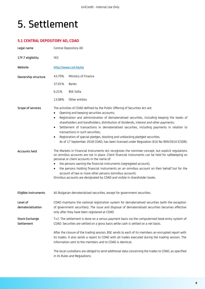### <span id="page-8-0"></span>5. Settlement

### **5.1 CENTRAL DEPOSITORY AD, CDAD**

| Legal name                    | Central Depository AD                                                                                                                                                                                                                                                                                                                                                                                                                                                                                                                                                                                                                                                        |                                                                                                                                                                                                                                                                         |  |
|-------------------------------|------------------------------------------------------------------------------------------------------------------------------------------------------------------------------------------------------------------------------------------------------------------------------------------------------------------------------------------------------------------------------------------------------------------------------------------------------------------------------------------------------------------------------------------------------------------------------------------------------------------------------------------------------------------------------|-------------------------------------------------------------------------------------------------------------------------------------------------------------------------------------------------------------------------------------------------------------------------|--|
| 17f-7 eligibility             | <b>YES</b>                                                                                                                                                                                                                                                                                                                                                                                                                                                                                                                                                                                                                                                                   |                                                                                                                                                                                                                                                                         |  |
| Website                       | http://www.csd-bg.bg                                                                                                                                                                                                                                                                                                                                                                                                                                                                                                                                                                                                                                                         |                                                                                                                                                                                                                                                                         |  |
| Ownership structure           | 43.70%                                                                                                                                                                                                                                                                                                                                                                                                                                                                                                                                                                                                                                                                       | Ministry of Finance                                                                                                                                                                                                                                                     |  |
|                               | 37.01%                                                                                                                                                                                                                                                                                                                                                                                                                                                                                                                                                                                                                                                                       | Banks                                                                                                                                                                                                                                                                   |  |
|                               | 6.21%                                                                                                                                                                                                                                                                                                                                                                                                                                                                                                                                                                                                                                                                        | <b>BSE Sofia</b>                                                                                                                                                                                                                                                        |  |
|                               | 13.08%                                                                                                                                                                                                                                                                                                                                                                                                                                                                                                                                                                                                                                                                       | Other entities                                                                                                                                                                                                                                                          |  |
| Scope of services             | The activities of CDAD defined by the Public Offering of Securities Act are:<br>Opening and keeping securities accounts;<br>$\bullet$<br>Registration and administration of dematerialised securities, including keeping the books of<br>٠<br>shareholders and bondholders, distribution of dividends, interest and other payments;<br>Settlement of transactions in dematerialised securities, including payments in relation to<br>$\bullet$<br>transactions in such securities;<br>Registration of special pledges, blocking and unblocking pledged securities.<br>$\bullet$<br>As of 17 September 2018 CDAD, has been licensed under Regulation (EU) No 909/2014 (CSDR). |                                                                                                                                                                                                                                                                         |  |
| Accounts held                 | The Markets in Financial Instruments Act recognises the nominee concept, but explicit regulations<br>on omnibus accounts are not in place. Client financial instruments can be held for safekeeping on<br>personal or client accounts in the name of:<br>the persons owning the financial instruments (segregated account);<br>the persons holding financial instruments on an omnibus account on their behalf but for the<br>$\bullet$<br>account of two or more other persons (omnibus account).<br>Omnibus accounts are designated by CDAD and visible in shareholder books.                                                                                              |                                                                                                                                                                                                                                                                         |  |
| Eligible instruments          |                                                                                                                                                                                                                                                                                                                                                                                                                                                                                                                                                                                                                                                                              | All Bulgarian dematerialised securities, except for government securities.                                                                                                                                                                                              |  |
| Level of<br>dematerialisation | CDAD maintains the national registration system for dematerialised securities (with the exception<br>of government securities). The issue and disposal of dematerialised securities becomes effective<br>only after they have been registered at CDAD.                                                                                                                                                                                                                                                                                                                                                                                                                       |                                                                                                                                                                                                                                                                         |  |
| Stock Exchange<br>Settlement  |                                                                                                                                                                                                                                                                                                                                                                                                                                                                                                                                                                                                                                                                              | T+2. The settlement is done on a versus payment basis via the computerised book-entry system of<br>CDAD. Securities are settled on a gross basis while cash is settled on a net basis.                                                                                  |  |
|                               |                                                                                                                                                                                                                                                                                                                                                                                                                                                                                                                                                                                                                                                                              | After the closure of the trading session, BSE sends to each of its members an encrypted report with<br>its trades. It also sends a report to CDAD with all trades executed during the trading session. The<br>information sent to the members and to CDAD is identical. |  |
|                               |                                                                                                                                                                                                                                                                                                                                                                                                                                                                                                                                                                                                                                                                              | The local custodians are obliged to send additional data concerning the trades to CDAD, as specified<br>in its Rules and Regulations.                                                                                                                                   |  |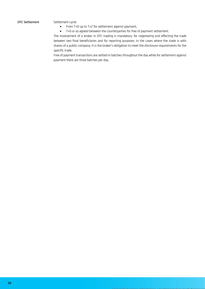#### OTC Settlement Settlement cycle:

- From T+0 up to T+2 for settlement against payment,
- T+0 or as agreed between the counterparties for free of payment settlement.

The involvement of a broker in OTC trading is mandatory: for negotiating and effecting the trade between two final beneficiaries and for reporting purposes. In the cases where the trade is with shares of a public company, it is the broker's obligation to meet the disclosure requirements for the specific trade.

Free of payment transactions are settled in batches throughout the day while for settlement against payment there are three batches per day.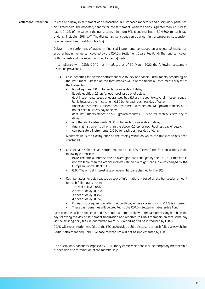#### Settlement Protection In case of a delay in settlement of a transaction, BSE imposes monetary and disciplinary penalties on its members. The monetary penalty for late settlement, when the delay is greater than 1 business day, is 0.12% of the value of the transaction, minimum BGN 6 and maximum BGN 600, for each day of delay, including 20% VAT. The disciplinary sanctions can be a warning, a temporary suspension or a permanent removal from trading.

Delays in the settlement of trades in financial instruments concluded on a regulated market or another trading venue can covered by the CDAD's Settlement Guarantee Fund. The fund can cover both the cash and the securities side of a failing trade.

In compliance with CSDR, CDAD has introduced as of 30 March 2022 the following settlement discipline provisions:

- Cash penalties for delayed settlement due to lack of financial instruments depending on the instrument – based on the total market value of the financial instruments subject of the transaction:
	- liquid equities: 1.0 bp for each business day of delay;
	- illiquid equities: 0.5 bp for each business day of delay;
	- debt instruments issued or guaranteed by a EU or third country sovereign issuer, central bank, local or other institution: 0.10 bp for each business day of delay;
	- financial instruments (except debt instruments) traded on SME growth markets: 0.25 bp for each business day of delay;
	- debt instruments traded on SME growth markets: 0.15 bp for each business day of delay;
	- all other debt instruments: 0.20 bp for each business day of delay;
	- financial instruments other than the above: 0.5 bp for each business day of delay;
	- compensatory instruments: 1.0 bp for each business day of delay.

Market value is the closing price on the trading venue on which the transaction has been concluded.

- Cash penalties for delayed settlement due to lack of sufficient funds for transactions in the following currencies:
	- BGN: The official interest rate on overnight loans charged by the BNB, or if this rate is not available then the official interest rate on overnight loans in euro charged by the European Central Bank (ECB);
	- EUR: The official interest rate on overnight loans charged by the ECB.
- Cash penalties for delay caused by lack of information: based on the transaction amount for each failed transaction:
	- 1 day of delay: 0.05%;
	- 2 days of delay: 0.2%;
	- 3 days of delay: 0.4%;
	- 4 days of delay: 0.6%;
	- For each subsequent day after the fourth day of delay, a sanction of 0.1% is imposed.
	- These cash penalties will be credited to the CDAD's Settlement Guarantee Fund.

Cash penalties will be collected and distributed automatically with the last processing batch on the day following the day of settlement finalization and reported to CDAD members on that same day via the existing daily files in .out format. No MT537 reporting will be introduced by CDAD.

CDAD will report settlement fails to the FSC and provide public disclosure on such fails via its website.

Partial settlement and Hold & Release mechanism will not be implemented by CDAD.

The disciplinary sanctions imposed by CDAD for systemic violations include temporary membership suspension or a termination of the membership.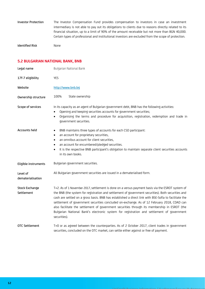Investor Protection The Investor Compensation Fund provides compensation to investors in case an investment intermediary is not able to pay out its obligations to clients due to reasons directly related to its financial situation, up to a limit of 90% of the amount receivable but not more than BGN 40,000. Certain types of professional and institutional investors are excluded from the scope of protection.

Identified Risk None

### **5.2 BULGARIAN NATIONAL BANK, BNB**

| Legal name                          | Bulgarian National Bank                                                                                                                                                                                                                                                                                                                                                                                                                                                                                                                                                                                                     |  |  |  |
|-------------------------------------|-----------------------------------------------------------------------------------------------------------------------------------------------------------------------------------------------------------------------------------------------------------------------------------------------------------------------------------------------------------------------------------------------------------------------------------------------------------------------------------------------------------------------------------------------------------------------------------------------------------------------------|--|--|--|
| 17f-7 eligibility                   | <b>YES</b>                                                                                                                                                                                                                                                                                                                                                                                                                                                                                                                                                                                                                  |  |  |  |
| Website                             | http://www.bnb.bg                                                                                                                                                                                                                                                                                                                                                                                                                                                                                                                                                                                                           |  |  |  |
| Ownership structure                 | 100%<br>State ownership                                                                                                                                                                                                                                                                                                                                                                                                                                                                                                                                                                                                     |  |  |  |
| Scope of services                   | In its capacity as an agent of Bulgarian government debt, BNB has the following activities:<br>Opening and keeping securities accounts for government securities;<br>$\bullet$<br>Organising the terms and procedure for acquisition, registration, redemption and trade in<br>$\bullet$<br>government securities.                                                                                                                                                                                                                                                                                                          |  |  |  |
| Accounts held                       | BNB maintains three types of accounts for each CSD participant:<br>$\bullet$<br>an account for proprietary securities,<br>$\bullet$<br>an omnibus account for client securities,<br>٠<br>an account for encumbered/pledged securities.<br>٠<br>It is the respective BNB participant's obligation to maintain separate client securities accounts<br>$\bullet$<br>in its own books.                                                                                                                                                                                                                                          |  |  |  |
| Eligible instruments                | Bulgarian government securities.                                                                                                                                                                                                                                                                                                                                                                                                                                                                                                                                                                                            |  |  |  |
| Level of<br>dematerialisation       | All Bulgarian government securities are issued in a dematerialised form.                                                                                                                                                                                                                                                                                                                                                                                                                                                                                                                                                    |  |  |  |
| <b>Stock Exchange</b><br>Settlement | T+2. As of 1 November 2017, settlement is done on a versus payment basis via the ESROT system of<br>the BNB (the system for registration and settlement of government securities). Both securities and<br>cash are settled on a gross basis. BNB has established a direct link with BSE-Sofia to facilitate the<br>settlement of government securities concluded on-exchange. As of 12 February 2018, CDAD can<br>also facilitate the settlement of government securities through its membership in ESROT (the<br>Bulgarian National Bank's electronic system for registration and settlement of government<br>securities). |  |  |  |
| <b>OTC Settlement</b>               | T+0 or as agreed between the counterparties. As of 2 October 2017, client trades in government<br>securities, concluded on the OTC market, can settle either against or free of payment.                                                                                                                                                                                                                                                                                                                                                                                                                                    |  |  |  |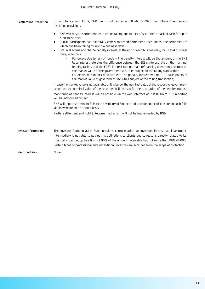| Settlement Protection | In compliance with CSDR, BNB has introduced as of 18 March 2022 the following settlement |  |  |  |  |  |
|-----------------------|------------------------------------------------------------------------------------------|--|--|--|--|--|
|                       | discipline provisions:                                                                   |  |  |  |  |  |

- BNB will recycle settlement instructions failing due to lack of securities or lack of cash for up to 4 business days.
- ESROT participants can bilaterally cancel matched settlement instructions, the settlement of which has been failing for up to 4 business days.
- BNB will accrue and charge penalty interest, at the end of each business day, for up to 4 business days, as follows.
	- For delays due to lack of funds The penalty interest will be the amount of the BNB base interest rate plus the difference between the ECB's interest rate on the marginal lending facility and the ECB's interest rate on main refinancing operations, accrued on the market value of the government securities subject of the failing transaction;
	- For delays due to lack of securities The penalty interest will be 0.10 basis points of the market value of government securities subject of the failing transaction;

In case the market value is not available or it is below the nominal value of the respective government securities, the nominal value of the securities will be used for the calculation of the penalty interest.

Monitoring of penalty interest will be possible via the web interface of ESROT. No MT537 reporting will be introduced by BNB.

BNB will report settlement fails to the Ministry of Finance and provide public disclosure on such fails via its website on an annual basis.

Partial settlement and Hold & Release mechanism will not be implemented by BNB.

Investor Protection The Investor Compensation Fund provides compensation to investors in case an investment intermediary is not able to pay out its obligations to clients due to reasons directly related to its financial situation, up to a limit of 90% of the amount receivable but not more than BGN 40,000. Certain types of professional and institutional investors are excluded from the scope of protection.

Identified Risk None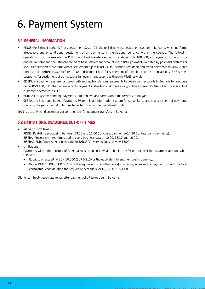## <span id="page-13-0"></span>6. Payment System

#### **6.1 GENERAL INFORMATION**

- RINGS (Real-time Interbank Gross-settlement System) is the real-time gross settlement system in Bulgaria, which performs irrevocable and unconditional settlement of all payments in the national currency within the country. The following operations must be executed in RINGS: all client transfers equal to or above BGN 100,000; all payments for which the original initiator and the ultimate recipient have settlement accounts with BNB; payments initiated by payment systems or securities settlement systems whose settlement agent is BNB. CDAD sends direct debit and credit payments to RINGS three times a day: before 10.30, before 12.30 and before 15.10 for settlement of eligible securities transactions. BNB settles payments for settlement of transactions in government securities through RINGS as well.
- BISERA is a payment system for non-priority money transfers and payments between bank accounts in Bulgaria for amounts below BGN 100,000. The system accepts payment instructions 24 hours a day, 7 days a week. BISERA7-EUR processes SEPA customer payments in EUR.
- BORICA is a system handling payments initiated by bank cards within the territory of Bulgaria.
- SEBRA, the Electronic Budget Payments System, is an information system for surveillance and management of payments made by the participating public sector enterprises within predefined limits.

IBAN is the only valid customer account number for payment transfers in Bulgaria.

### **6.2 LIMITATIONS, DEADLINES, CUT-OFF TIMES**

- Market cut-off times RINGS: Real-time processing between 08:00 and 16:00 (for client payments)/17:30 (for interbank payments). BISERA: Processing three times during every business day: at 10:00, 13:30 and 16:00. BISERA7-EUR: Processing of payments in TARGET2 every business day by 15:00.
- **Limitations**

Payments within the territory of Bulgaria must be paid only via a bank transfer or a deposit in a payment account when they are:

- Equal to or exceeding BGN 10,000 (EUR 5,113) or the equivalent in another foreign currency.
- Below BGN 10,000 (EUR 5,113) or the equivalent in another foreign currency, when such a payment is part of a total contractual consideration that equals or exceeds BGN 10,000 (EUR 5,113).

Clients can freely repatriate funds after payment of all taxes due in Bulgaria.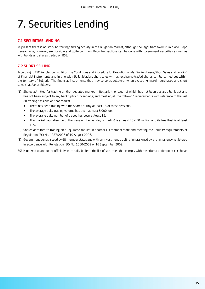### <span id="page-14-0"></span>7. Securities Lending

#### **7.1 SECURITIES LENDING**

At present there is no stock borrowing/lending activity in the Bulgarian market, although the legal framework is in place. Repo transactions, however, are possible and quite common. Repo transactions can be done with government securities as well as with bonds and shares traded on BSE.

#### **7.2 SHORT SELLING**

According to FSC Regulation no. 16 on the Conditions and Procedure for Execution of Margin Purchases, Short Sales and Lending of Financial Instruments and in line with EU legislation, short sales with all exchange-traded shares can be carried out within the territory of Bulgaria. The financial instruments that may serve as collateral when executing margin purchases and short sales shall be as follows:

- (1) Shares admitted for trading on the regulated market in Bulgaria the issuer of which has not been declared bankrupt and has not been subject to any bankruptcy proceedings; and meeting all the following requirements with reference to the last 20 trading sessions on that market.
	- There has been trading with the shares during at least 15 of those sessions.
	- The average daily trading volume has been at least 5,000 lots.
	- The average daily number of trades has been at least 15.
	- The market capitalisation of the issue on the last day of trading is at least BGN 20 million and its free float is at least 15%.
- (2) Shares admitted to trading on a regulated market in another EU member state and meeting the liquidity requirements of Regulation (EC) No. 1287/2006 of 10 August 2006.
- (3) Government bonds issued by EU member states and with an investment credit rating assigned by a rating agency, registered in accordance with Regulation (EC) No. 1060/2009 of 16 September 2009.

BSE is obliged to announce officially in its daily bulletin the list of securities that comply with the criteria under point (1) above.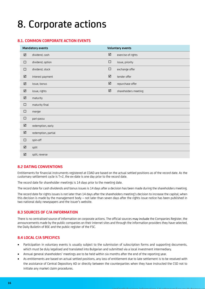### <span id="page-15-0"></span>8. Corporate actions

#### **8.1. COMMON CORPORATE ACTION EVENTS**

| <b>Mandatory events</b> |                     | <b>Voluntary events</b> |                      |  |  |
|-------------------------|---------------------|-------------------------|----------------------|--|--|
| $\boxed{\mathsf{M}}$    | dividend, cash      | $\Delta$                | exercise of rights   |  |  |
| $\Box$                  | dividend, option    | $\Box$                  | issue, priority      |  |  |
| $\Box$                  | dividend, stock     | $\Box$                  | exchange offer       |  |  |
| ☑                       | interest payment    | ☑                       | tender offer         |  |  |
| $\Delta$                | issue, bonus        | $\Delta$                | repurchase offer     |  |  |
| $\Delta$                | issue, rights       | $\Delta$                | shareholders meeting |  |  |
| $\Delta$                | maturity            |                         |                      |  |  |
| $\Box$                  | maturity final      |                         |                      |  |  |
| $\Box$                  | merger              |                         |                      |  |  |
| $\Box$                  | pari-passu          |                         |                      |  |  |
| $\Delta$                | redemption, early   |                         |                      |  |  |
| $\boxtimes$             | redemption, partial |                         |                      |  |  |
| $\Box$                  | spin-off            |                         |                      |  |  |
| $\overline{\mathsf{M}}$ | split               |                         |                      |  |  |
| ☑                       | split, reverse      |                         |                      |  |  |

#### **8.2 DATING CONVENTIONS**

Entitlements for financial instruments registered at CDAD are based on the actual settled positions as of the record date. As the customary settlement cycle is T+2, the ex-date is one day prior to the record date.

The record date for shareholder meetings is 14 days prior to the meeting date.

The record date for cash dividends and bonus issues is 14 days after a decision has been made during the shareholders meeting.

The record date for rights issues is not later than 14 days after the shareholders meeting's decision to increase the capital; when this decision is made by the management body – not later than seven days after the rights issue notice has been published in two national daily newspapers and the issuer's website.

#### **8.3 SOURCES OF C/A INFORMATION**

Тhere is no centralised source of information on corporate actions. The official sources may include the Companies Register, the announcements made by the public companies on their internet sites and through the information providers they have selected, the Daily Bulletin of BSE and the public register of the FSC.

#### **8.4 LOCAL C/A SPECIFICS**

- Participation in voluntary events is usually subject to the submission of subscription forms and supporting documents, which must be duly legalised and translated into Bulgarian and submitted via a local investment intermediary.
- Annual general shareholders' meetings are to be held within six months after the end of the reporting year.
- As entitlements are based on actual settled positions, any loss of entitlement due to late settlement is to be resolved with the assistance of Central Depository AD or directly between the counterparties when they have instructed the CSD not to initiate any market claim procedures.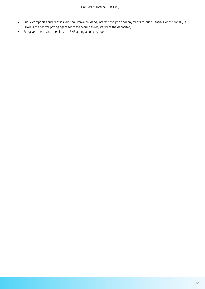- Public companies and debt issuers shall make dividend, interest and principal payments through Central Depository AD, i.e. CDAD is the central paying agent for these securities registered at the depository.
- For government securities it is the BNB acting as paying agent.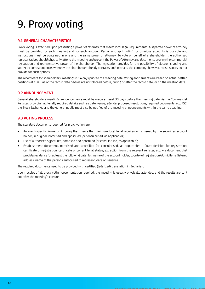## <span id="page-17-0"></span>9. Proxy voting

#### **9.1 GENERAL CHARACTERISTICS**

Proxy voting is executed upon presenting a power of attorney that meets local legal requirements. A separate power of attorney must be provided for each meeting and for each account. Partial and split voting for omnibus accounts is possible and instructions must be contained in one and the same power of attorney. To vote on behalf of a shareholder, the authorised representatives should physically attend the meeting and present the Power of Attorney and documents proving the commercial registration and representative power of the shareholder. The legislation provides for the possibility of electronic voting and voting by correspondence, whereby the shareholder directly contacts and instructs the company; however, most issuers do not provide for such options.

The record date for shareholders' meetings is 14 days prior to the meeting date. Voting entitlements are based on actual settled positions at CDAD as of the record date. Shares are not blocked before, during or after the record date, or on the meeting date.

#### **9.2 ANNOUNCEMENT**

General shareholders meetings announcements must be made at least 30 days before the meeting date via the Commercial Register, providing all legally required details such as date, venue, agenda, proposed resolutions, required documents, etc. FSC, the Stock Exchange and the general public must also be notified of the meeting announcements within the same deadline.

#### **9.3 VOTING PROCESS**

The standard documents required for proxy voting are:

- An event-specific Power of Attorney that meets the minimum local legal requirements, issued by the securities account holder, in original, notarised and apostilled (or consularised, as applicable);
- List of authorised signatures, notarised and apostilled (or consularised, as applicable);
- Establishment document, notarised and apostilled (or consularised, as applicable) Court decision for registration, certificate of registration, certificate of current legal status, extraction from the relevant register, etc. – a document that provides evidence for at least the following data: full name of the account holder, country of registration/domicile, registered address, name of the persons authorised to represent, date of issuance.

The required documents need to be provided with certified (legalized) translation in Bulgarian.

Upon receipt of all proxy voting documentation required, the meeting is usually physically attended, and the results are sent out after the meeting's closure.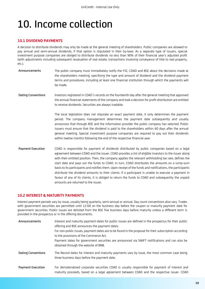### <span id="page-18-0"></span>10. Income collection

#### **10.1 DIVIDEND PAYMENTS**

A decision to distribute dividends may only be made at the general meeting of shareholders. Public companies are allowed to pay annual and semi-annual dividends, if that option is stipulated in their by-laws. As a separate type of issuers, special investment purpose companies are obliged to distribute dividends no less than 90% of their financial year's adjusted profit (with adjustments including subsequent revaluation of real estate, transactions involving conveyance of title to real property, etc.).

Announcements The public company must immediately notify the FSC, CDAD and BSE about the decisions made at the shareholders meeting, specifying the type and amount of dividend and the dividend payment terms and procedures, including at least one financial institution through which the payments will be made. Dating Conventions Investors registered in CDAD´s records on the fourteenth day after the general meeting that approved the annual financial statements of the company and took a decision for profit distribution are entitled to receive dividends. Securities are always tradable. The local legislation does not stipulate an exact payment date, it only determines the payment period. The company management determines the payment date subsequently and usually announces that through BSE and the information provider the public company has selected. Public issuers must ensure that the dividend is paid to the shareholders within 60 days after the annual general meeting. Special investment purpose companies are required to pay out their dividends within twelve months following the end of the respective financial year. Payment Execution CDAD is responsible for payment of dividends distributed by public companies based on a legal agreement between CDAD and the issuer. CDAD provides a list of eligible investors to the issuer along with their entitled position. Then, the company applies the relevant withholding tax rate, defines the start date and pays out the funds to CDAD. In turn, CDAD distributes the amounts on a lump-sum basis to its participants and notifies them. Upon receipt of the funds and notifications, the participants distribute the dividend amounts to their clients. If a participant is unable to execute a payment in favour of any of its clients, it is obliged to return the funds to CDAD and subsequently the unpaid amounts are returned to the issuer.

#### **10.2 INTEREST & MATURITY PAYMENTS**

Interest payment periods vary by issue, usually being quarterly, semi-annual or annual. Day count conventions also vary. Trades with government securities are permitted until 12:00 on the business day before the coupon or maturity payment date for government securities. Public issues are delisted from the BSE five business days before maturity unless a different term is provided in the prospectus or in the offering documents.

| Announcements            | Interest and maturity payment dates for public issues are defined in the prospectus for their public<br>offering and BSE announces the payment dates.                                         |  |  |  |  |  |
|--------------------------|-----------------------------------------------------------------------------------------------------------------------------------------------------------------------------------------------|--|--|--|--|--|
|                          | For non-public issues, payment dates are to be found in the proposal for their subscription according<br>to the provisions of the Commerce Act.                                               |  |  |  |  |  |
|                          | Payment dates for government securities are announced via SWIFT notifications and can also be<br>obtained through the website of BNB.                                                         |  |  |  |  |  |
| Dating Conventions       | The Record dates for interest and maturity payments vary by issue, the most common case being<br>three business days before the payment date.                                                 |  |  |  |  |  |
| <b>Payment Execution</b> | For dematerialised corporate securities CDAD is usually responsible for payment of interest and<br>maturity proceeds, based on a legal agreement between CDAD and the respective issuer. CDAD |  |  |  |  |  |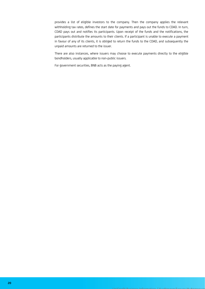provides a list of eligible investors to the company. Then the company applies the relevant withholding tax rates, defines the start date for payments and pays out the funds to CDAD. In turn, CDAD pays out and notifies its participants. Upon receipt of the funds and the notifications, the participants distribute the amounts to their clients. If a participant is unable to execute a payment in favour of any of its clients, it is obliged to return the funds to the CDAD, and subsequently the unpaid amounts are returned to the issuer.

There are also instances, where issuers may choose to execute payments directly to the eligible bondholders, usually applicable to non-public issuers.

For government securities, BNB acts as the paying agent.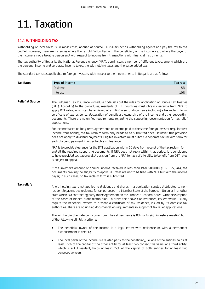### <span id="page-20-0"></span>11. Taxation

#### **11.1 WITHHOLDING TAX**

Withholding of local taxes is, in most cases, applied at source, i.e. issuers act as withholding agents and pay the tax to the budget. However, there are instances where the tax obligation lies with the beneficiary of the income - e.g. where the payer of the income is not a taxable person and with respect to income from transactions with financial instruments.

The tax authority of Bulgaria, the National Revenue Agency (NRA), administers a number of different taxes, among which are the personal income and corporate income taxes, the withholding taxes and the value added tax.

The standard tax rates applicable to foreign investors with respect to their investments in Bulgaria are as follows:

| Tax Rates               | <b>Type of income</b><br>Tax rate                                                                                                                                                                                                                                                                                                                                                                                                                                                                                                                                                                                                               |     |
|-------------------------|-------------------------------------------------------------------------------------------------------------------------------------------------------------------------------------------------------------------------------------------------------------------------------------------------------------------------------------------------------------------------------------------------------------------------------------------------------------------------------------------------------------------------------------------------------------------------------------------------------------------------------------------------|-----|
|                         | Dividend                                                                                                                                                                                                                                                                                                                                                                                                                                                                                                                                                                                                                                        | 5%  |
|                         | Interest                                                                                                                                                                                                                                                                                                                                                                                                                                                                                                                                                                                                                                        | 10% |
| <b>Relief at Source</b> | The Bulgarian Tax Insurance Procedure Code sets out the rules for application of Double Tax Treaties<br>(DTT). According to the procedures, residents of DTT countries must obtain clearance from NRA to<br>apply DTT rates, which can be achieved after filing a set of documents including a tax reclaim form,<br>certificate of tax residence, declaration of beneficiary ownership of the income and other supporting<br>documents. There are no unified requirements regarding the supporting documentation for tax relief<br>applications.                                                                                                |     |
|                         | For income based on long-term agreements or income paid to the same foreign investor (e.g., interest<br>income from bonds), the tax reclaim form only needs to be submitted once. However, this provision<br>does not apply to dividend payments. Eligible investors must submit a separate tax reclaim form for<br>each dividend payment in order to obtain clearance.                                                                                                                                                                                                                                                                         |     |
|                         | NRA is to provide clearance for the DTT application within 60 days from receipt of the tax reclaim form<br>and all the required supporting documents. If NRA does not reply within that period, it is considered<br>to have provided tacit approval. A decision from the NRA for lack of eligibility to benefit from DTT rates<br>is subject to appeal.                                                                                                                                                                                                                                                                                         |     |
|                         | If the investor's amount of annual income received is less than BGN 500,000 (EUR 255,646), the<br>documents proving the eligibility to apply DTT rates are not to be filed with NRA but with the income<br>payer; in such cases, no tax reclaim form is submitted.                                                                                                                                                                                                                                                                                                                                                                              |     |
| Tax reliefs             | A withholding tax is not applied to dividends and shares in a liquidation surplus distributed to non-<br>resident legal entities residents for tax purposes in a Member State of the European Union or in another<br>state which is a contracting party to the Agreement on the European Economic Area, with the exception<br>of the cases of hidden profit distribution. To prove the above circumstances, issuers would usually<br>require the beneficial owners to present a certificate of tax residence, issued by its domicile tax<br>authorities. There are no unified documentation requirements in support of tax relief applications. |     |
|                         | The withholding tax rate on income from interest payments is 0% for foreign investors meeting both<br>of the following eligibility criteria:                                                                                                                                                                                                                                                                                                                                                                                                                                                                                                    |     |
|                         | The beneficial owner of the income is a legal entity with residence or with a permanent<br>$\bullet$<br>establishment in the EU;                                                                                                                                                                                                                                                                                                                                                                                                                                                                                                                |     |
|                         | The local payer of the income is a related party to the beneficiary, i.e. one of the entities holds at<br>$\bullet$<br>least 25% of the capital of the other entity for at least two consecutive years, or a third entity,<br>which is a EU resident, holds at least 25% of the capital of both entities for at least two<br>consecutive years.                                                                                                                                                                                                                                                                                                 |     |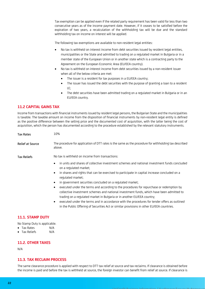Tax exemption can be applied even if the related party requirement has been valid for less than two consecutive years as of the income payment date. However, if it ceases to be satisfied before the expiration of two years, a recalculation of the withholding tax will be due and the standard withholding tax on income on interest will be applied.

The following tax exemptions are available to non-resident legal entities:

- No tax is withheld on interest income from debt securities issued by resident legal entities, municipalities or the State and admitted to trading on a regulated market in Bulgaria or in a member state of the European Union or in another state which is a contracting party to the Agreement on the European Economic Area (EU/EEA country).
- No tax is withheld on interest income from debt securities issued by a non-resident issuer when all of the below criteria are met:
	- The issuer is a resident for tax purposes in a EU/EEA country;
	- The issuer has issued the debt securities with the purpose of granting a loan to a resident LE;
	- The debt securities have been admitted trading on a regulated market in Bulgaria or in an EU/EEA country.

#### **11.2 CAPITAL GAINS TAX**

Income from transactions with financial instruments issued by resident legal persons, the Bulgarian State and the municipalities is taxable. The taxable amount on income from the disposition of financial instruments by non-resident legal entity is defined as the positive difference between the selling price and the documented cost of acquisition, with the latter being the cost of acquisition, which the person has documented according to the procedure established by the relevant statutory instruments.

| <b>Tax Rates</b>        | 10%                                                                                                                                                                                       |
|-------------------------|-------------------------------------------------------------------------------------------------------------------------------------------------------------------------------------------|
| <b>Relief at Source</b> | The procedure for application of DTT rates is the same as the procedure for withholding tax described<br>above.                                                                           |
| <b>Tax Reliefs</b>      | No tax is withheld on income from transactions:                                                                                                                                           |
|                         | in units and shares of collective investment schemes and national investment funds concluded<br>$\bullet$<br>on a regulated market;                                                       |
|                         | in shares and rights that can be exercised to participate in capital increase concluded on a<br>٠<br>regulated market;                                                                    |
|                         | in government securities concluded on a regulated market;<br>٠                                                                                                                            |
|                         | executed under the terms and according to the procedures for repurchase or redemption by<br>٠<br>collective investment schemes and national investment funds, which have been admitted to |
|                         | trading on a regulated market in Bulgaria or in another EU/EEA country;                                                                                                                   |
|                         | executed under the terms and in accordance with the procedures for tender offers as outlined<br>٠                                                                                         |
|                         | in the Public Offering of Securities Act or similar provisions in other EU/EEA countries.                                                                                                 |

#### **11.1. STAMP DUTY**

No Stamp Duty is applicable.

- Tax Rates **N/A**
- Tax Reliefs M/A

#### **11.2. OTHER TAXES**

N/A

#### **11.3. TAX RECLAIM PROCESS**

The same clearance procedure is applied with respect to DTT tax relief at source and tax reclaims. If clearance is obtained before the income is paid and before the tax is withheld at source, the foreign investor can benefit from relief at source. If clearance is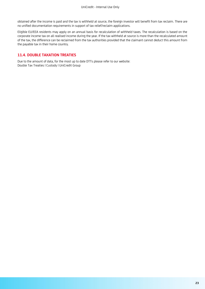obtained after the income is paid and the tax is withheld at source, the foreign investor will benefit from tax reclaim. There are no unified documentation requirements in support of tax relief/reclaim applications.

Eligible EU/EEA residents may apply on an annual basis for recalculation of withheld taxes. The recalculation is based on the corporate income tax on all realised income during the year. If the tax withheld at source is more than the recalculated amount of the tax, the difference can be reclaimed from the tax authorities provided that the claimant cannot deduct this amount from the payable tax in their home country.

#### **11.4. DOUBLE TAXATION TREATIES**

Due to the amount of data, for the most up to date DTTs please refer to our website: [Double Tax Treaties | Custody | UniCredit Group](https://gss.unicreditgroup.eu/markets/bulgaria/documents/double-tax-treaties)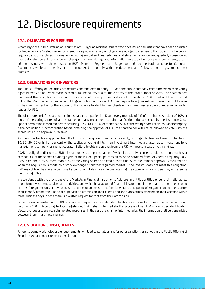### <span id="page-23-0"></span>12. Disclosure requirements

#### **12.1. OBLIGATIONS FOR ISSUERS**

According to the Public Offering of Securities Act, Bulgarian resident issuers, who have issued securities that have been admitted for trading on a regulated market or offered via a public offering in Bulgaria, are obliged to disclose to the FSC and to the public, regulated and unregulated information including annual and quarterly financial statements, annual and quarterly consolidated financial statements, information on changes in shareholdings and information on acquisition or sale of own shares, etc. In addition, issuers with shares listed on BSE's Premium Segment are obliged to abide by the National Code for Corporate Governance, while all other issuers are encouraged to comply with the document and follow corporate governance best practices.

#### **12.2. OBLIGATIONS FOR INVESTORS**

The Public Offering of Securities Act requires shareholders to notify FSC and the public company each time when their voting rights (directly or indirectly) reach, exceed or fall below 5% or a multiple of 5% of the total number of votes. The shareholders must meet this obligation within four business days of the acquisition or disposal of the shares. CDAD is also obliged to report to FSC the 5% threshold changes in holdings of public companies. FSC may require foreign investment firms that hold shares in their own names but for the account of their clients to identify their clients within three business days of receiving a written request by FSC.

The disclosure limit for shareholders in insurance companies is 1% and every multiple of 1% of the shares. A holder of 10% or more of the voting shares of an insurance company must meet certain qualification criteria set out by the Insurance Code. Special permission is required before acquiring 20%, 30%, 50%, or more than 50% of the voting shares of an insurance company. If the acquisition is accomplished before obtaining the approval of FSC, the shareholder will not be allowed to vote with the shares until such approval is received.

An investor is to obtain approval from the FSC prior to acquiring, directly or indirectly, holdings which exceed, reach, or fall below 10, 20, 30, 50 or higher per cent of the capital or voting rights in an investment intermediary, alternative investment fund management company or market operator. Failure to obtain approval from the FSC will result in loss of voting rights.

CDAD is obliged to disclose to BNB all shareholders, the participation of which in a locally licensed credit institution reaches or exceeds 3% of the shares or voting rights of the issuer. Special permission must be obtained from BNB before acquiring 10%, 20%, 33% and 50% or more than 50% of the voting shares of a credit institution. Such preliminary approval is required also when the acquisition is made on a stock exchange or another regulated market. If the investor does not meet this obligation, BNB may oblige the shareholder to sell a part or all of its shares. Before receiving the approval, shareholders may not exercise their voting rights.

In accordance with the provisions of the Markets in Financial Instruments Act, foreign entities entitled under their national law to perform investment services and activities, and which have acquired financial instruments in their name but on the account of other foreign persons, or have done so as clients of an investment firm for which the Republic of Bulgaria is the home country, shall identify before the Financial Supervision Commission their clients and the transactions effected on their account within three business days in case there is a written request for that from the Commission.

Since the implementation of SRDII, issuers can request shareholder identification disclosure for omnibus securities accounts held with CDAD. According to local legislation, CDAD shall intermediate the process of sending shareholder identification disclosure requests and receiving related responses; in the case of a chain of intermediaries, the information shall be transmitted between them in a timely manner.

#### **12.3. VIOLATION CONSEQUENCES**

Failure to comply with disclosure requirements will lead to penalties and/or other sanctions as set out in the Public Offering of Securities Act and other relevant legislation.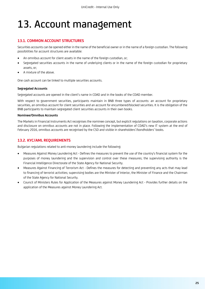### <span id="page-24-0"></span>13. Account management

#### **13.1. COMMON ACCOUNT STRUCTURES**

Securities accounts can be opened either in the name of the beneficial owner or in the name of a foreign custodian. The following possibilities for account structures are available:

- An omnibus account for client assets in the name of the foreign custodian, or;
- Segregated securities accounts in the name of underlying clients or in the name of the foreign custodian for proprietary assets, or;
- A mixture of the above.

One cash account can be linked to multiple securities accounts.

#### **Segregated Accounts**

Segregated accounts are opened in the client's name in CDAD and in the books of the CDAD member.

With respect to government securities, participants maintain in BNB three types of accounts: an account for proprietary securities, an omnibus account for client securities and an account for encumbered/blocked securities. It is the obligation of the BNB participants to maintain segregated client securities accounts in their own books.

#### **Nominee/Omnibus Accounts**

The Markets in Financial Instruments Act recognises the nominee concept, but explicit regulations on taxation, corporate actions and disclosure on omnibus accounts are not in place. Following the implementation of CDAD's new IT system at the end of February 2016, omnibus accounts are recognised by the CSD and visible in shareholders'/bondholders' books.

#### **13.2. KYC/AML REQUIREMENTS**

Bulgarian regulations related to anti-money laundering include the following:

- Measures Against Money Laundering Act Defines the measures to prevent the use of the country's financial system for the purposes of money laundering and the supervision and control over these measures; the supervising authority is the Financial Intelligence Directorate of the State Agency for National Security.
- Measures Against Financing of Terrorism Act Defines the measures for detecting and preventing any acts that may lead to financing of terrorist activities; supervising bodies are the Minister of Interior, the Minister of Finance and the Chairman of the State Agency for National Security.
- Council of Ministers Rules for Application of the Measures against Money Laundering Act Provides further details on the application of the Measures against Money Laundering Act.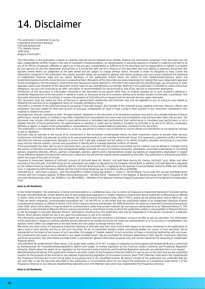### <span id="page-25-0"></span>14. Disclaimer

This publication is presented to you by: Corporate & Investment Banking UniCredit Bulbank AD 7 Sv. Nedelia Square 1000 Sofia Bulgaria ("UniCredit")

The information in this publication is based on carefully selected sources believed to be reliable, however the information contained in this document has not been independently verified. Except in the case of fraudulent misrepresentation, no representation or warranty (express or implied) is made by UniCredit or by any of its officers, employees, affiliates or agents as to the accuracy, completeness or sufficiency of this document and no responsibility or liability is accepted by such persons for any loss whatsoever arising from or in connection with use of or reliance on this document and such liability is expressly disclaimed. Any opinions herein reflect our judgement at the date hereof and are subject to change without notice. UniCredit is under no obligation to keep current the information contained in this publication. Any reports provided herein are provided for general information purposes only and cannot substitute the obtaining of independent financial, legal and tax advice. Receivers of this publication should obtain the advice of their banker/broker/advisors about any investments/product/activity concerned prior to evaluating them. Recipients of this document are solely responsible for making their own independent appraisal of and investigations into the products, investments and transactions herein referred to. UniCredit is not responsible for providing legal, tax, accounting, or other specialist advice and recipients of this document should make its own arrangements accordingly. Nothing in this publication is intended to create contractual obligations, nor can it be construed as an offer, solicitation or recommendation for the purchase or sale of any security or investment whatsoever.

Distribution of this document or information contained in this document to any person other than an original recipient (or to such recipient's advisors) is prohibited. Reproduction of this document, in whole or in part, or disclosure of any of its contents, without prior written consent of UniCredit, is prohibited. This document should be read in its entirety, it remains the property of UniCredit and on request must be returned and any copies destroyed.

This document shall not create any form of fiduciary or adviser/client relationship and UniCredit may only be regarded by you as acting on your behalf as following the execution of an engagement letter on mutually satisfactory terms.

UniCredit is a member of the UniCredit Group of companies ("UniCredit Group"). Any member of the UniCredit Group, together with their directors, officers and employees may have traded for their own account as principal, underwritten an issue or have a long or short position in any instrument mentioned in this material or related instrument.

Any projection, forecast, estimate or other "forward-looking" statement in this document is for illustrative purposes only and is not a reliable indicator of future performance. Actual events or conditions may differ materially from assumptions and some risks and uncertainties may not have been taken into account. The document may include information related to past performance or simulated past performance. Past performance or simulated past performance is not a reliable indicator of future performance. No representation or warranty is made, and no liability is accepted, by UniCredit or by any of its officers, employees, affiliates or agents in respect of the achievability or reasonableness of any forward-looking statements contained in this document.

This publication is not intended for distribution to, or use by, any person or entity in any jurisdiction or country where such distribution or use would be contrary to law or regulation.

UniCredit may be solicited in the course of its involvement in the transaction contemplated herein, by other investment clients to provide other services. Furthermore, UniCredit may allocate securities to its own proprietary book or to any member of UniCredit Group. This represents a potential conflict of interest. UniCredit has internal arrangements designed to ensure that it will give unbiased and full advice to its clients including valuation and pricing of a securities issue and has internal systems, controls and procedures to identify and to manage potential conflicts of interest.

If this presentation has been sent to you in electronic form, you are reminded that documents transmitted via this medium may be altered or changed during the process of electronic transmission and consequently neither UniCredit nor any of its holding companies, subsidiaries, associated undertakings or controlling persons, respective directors, officers, partners, employees, advisors, agents and/or representatives accept any liability or responsibility whatsoever in respect of any difference between the document sent to you in electronic format and the original version prepared by UniCredit. This publication is a financial promotion within the scope of the rules of Consob.

Corporate & Investment Banking of UniCredit consists of UniCredit Bank AG, Munich, UniCredit Bank Austria AG, Vienna, UniCredit S.p.A., Milan and other members of the UniCredit. UniCredit Group and its subsidiaries are subject to regulation by the European Central Bank. In addition UniCredit Bank AG is regulated by the Federal Financial Supervisory Authority (BaFin), UniCredit Bank Austria AG is regulated by the Austrian Financial Market Authority (FMA) and UniCredit S.p.A. is regulated by both the Banca d'Italia and the Commissione Nazionale per le Società e la Borsa (CONSOB).

UniCredit S.p.A. - joint stock company – with the Head Office in Milan: Piazza Gae Aulenti 3 - Tower A - 20154 Milano. Fiscal Code, VAT number and Registration number with the Company Register of Milan-Monza-Brianza-Lodi: : 00348170101 - Registered in the Register of Banking Groups and Parent Company of the UniCredit Banking Group, with. cod. 02008.1; Cod. ABI 02008.1 - Member of the National Interbank Deposit Guarantee Fund and of the National Compensation Fund.

#### **Note to UK Residents:**

In the United Kingdom, this publication is being communicated on a confidential basis only to clients of Corporate & Investment Banking of UniCredit (acting through UniCredit Bank AG, London Branch) who (i) have professional experience in matters relating to investments being investment professionals as defined in Article 19(5) of the Financial Services and Markets Act 2000 (Financial Promotion) Order 2005 ("FPO"); and/or (ii) are falling within Article 49(2) (a) – (d) ("high net worth companies, unincorporated associations etc.") of the FPO (or, to the extent that this publication relates to an unregulated collective scheme, to professional investors as defined in Article 14(5) of the Financial Services and Markets Act 2000 (Promotion of Collective Investment Schemes) (Exemptions) Order 2001 and/or (iii) to whom it may be lawful to communicate it, other than private investors (all such persons being referred to as "Relevant Persons"). This publication is only directed at Relevant Persons and any investment or investment activity to which this publication relates is only available to Relevant Persons or will be engaged in only with Relevant Persons. Solicitations resulting from this publication will only be responded to if the person concerned is a Relevant Person. Other persons should not rely or act upon this publication or any of its contents.

The information provided herein (including any report set out herein) does not constitute a solicitation to buy or an offer to sell any securities. The information in this publication is based on carefully selected sources believed to be reliable but we do not make any representation as to its accuracy or completeness. Any opinions herein reflect our judgement at the date hereof and are subject to change without notice.

We and/or any other entity of Corporate & Investment Banking of UniCredit may from time to time with respect to securities mentioned in this publication (i) take a long or short position and buy or sell such securities; (ii) act as investment bankers and/or commercial bankers for issuers of such securities; (iii) be represented on the board of any issuers of such securities; (iv) engage in "market making" of such securities; (v) have a consulting relationship with any issuer. Any investments discussed or recommended in any report provided herein may be unsuitable for investors depending on their specific investment objectives and financial position. Any information provided herein is provided for general information purposes only and cannot substitute the obtaining of independent financial advice.

UniCredit Bank AG London Branch, Moor House, 120 London Wall, London, EC2Y 5ET, is subject to regulation by the European Central Bank (ECB) and is authorised by Bundesanstalt für Finanzdienstleistungsaufsicht (BaFin) and subject to limited regulation by the Financial Conduct Authority and Prudential Regulation Authority. Details about the extent of our regulation by the Financial Conduct Authority and Prudential Regulation Authority are available from us on request. Notwithstanding the above, if this publication relates to securities subject to the Prospectus Directive (2005) it is sent to you on the basis that you are a Qualified Investor for the purposes of the directive or any relevant implementing legislation of a European Economic Area ("EEA") Member State which has implemented the Prospectus Directive and it must not be given to any person who is not a Qualified Investor. By being in receipt of this publication you undertake that you will only offer or sell the securities described in this publication in circumstances which do not require the production of a prospectus under Article 3 of the Prospectus Directive or any relevant implementing legislation of an EEA Member State which has implemented the Prospectus Directive.

#### **Note to US Residents:**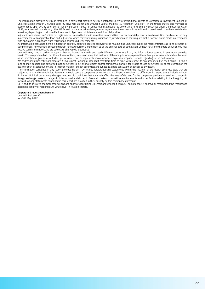The information provided herein or contained in any report provided herein is intended solely for institutional clients of Corporate & Investment Banking of UniCredit acting through UniCredit Bank AG, New York Branch and UniCredit Capital Markets LLC (together "UniCredit") in the United States, and may not be used or relied upon by any other person for any purpose. It does not constitute a solicitation to buy or an offer to sell any securities under the Securities Act of 1933, as amended, or under any other US federal or state securities laws, rules or regulations. Investments in securities discussed herein may be unsuitable for investors, depending on their specific investment objectives, risk tolerance and financial position.

In jurisdictions where UniCredit is not registered or licensed to trade in securities, commodities or other financial products, any transaction may be effected only in accordance with applicable laws and legislation, which may vary from jurisdiction to jurisdiction and may require that a transaction be made in accordance with applicable exemptions from registration or licensing requirements.

All information contained herein is based on carefully selected sources believed to be reliable, but UniCredit makes no representations as to its accuracy or completeness. Any opinions contained herein reflect UniCredit's judgement as of the original date of publication, without regard to the date on which you may receive such information, and are subject to change without notice.

UniCredit may have issued other reports that are inconsistent with, and reach different conclusions from, the information presented in any report provided herein. Those reports reflect the different assumptions, views and analytical methods of the analysts who prepared them. Past performance should not be taken as an indication or guarantee of further performance, and no representation or warranty, express or implied, is made regarding future performance.

We and/or any other entity of Corporate & Investment Banking of UniCredit may from time to time, with respect to any securities discussed herein: (i) take a long or short position and buy or sell such securities; (ii) act as investment and/or commercial bankers for issuers of such securities; (iii) be represented on the board of such issuers; (iv) engage in "market-making" of such securities; and (v) act as a paid consultant or adviser to any issuer.

The information contained in any report provided herein may include forward-looking statements within the meaning of US federal securities laws that are subject to risks and uncertainties. Factors that could cause a company's actual results and financial condition to differ from its expectations include, without limitation: Political uncertainty, changes in economic conditions that adversely affect the level of demand for the company's products or services, changes in foreign exchange markets, changes in international and domestic financial markets, competitive environments and other factors relating to the foregoing. All forward-looking statements contained in this report are qualified in their entirety by this cautionary statement.

UEFA and its affiliates, member associations and sponsors (excluding UniCredit and UniCredit Bank AG) do not endorse, approve or recommend the Product and accept no liability or responsibility whatsoever in relation thereto.

#### **Corporate & Investment Banking**

UniCredit Bulbank AD as of 04 May 2022